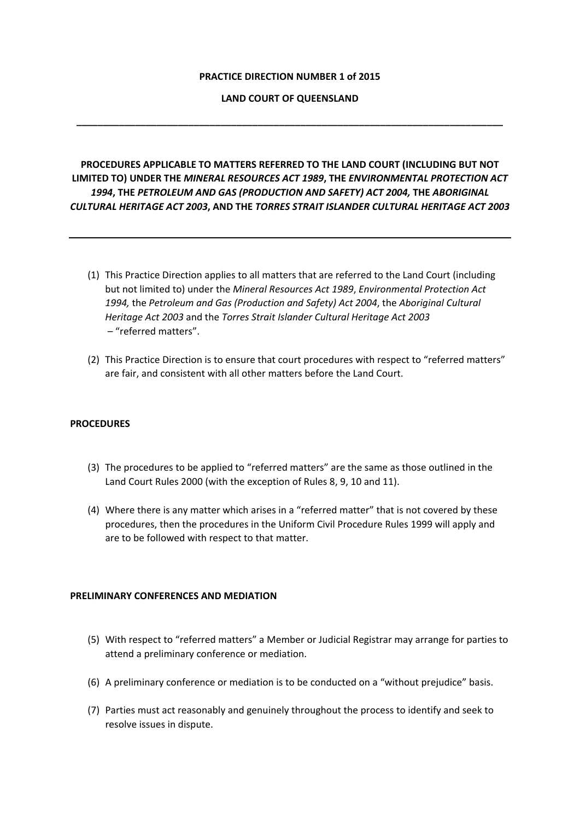### **PRACTICE DIRECTION NUMBER 1 of 2015**

## **LAND COURT OF QUEENSLAND**

**\_\_\_\_\_\_\_\_\_\_\_\_\_\_\_\_\_\_\_\_\_\_\_\_\_\_\_\_\_\_\_\_\_\_\_\_\_\_\_\_\_\_\_\_\_\_\_\_\_\_\_\_\_\_\_\_\_\_\_\_\_\_\_\_\_\_\_\_\_\_\_\_\_\_\_\_\_\_\_\_**

# **PROCEDURES APPLICABLE TO MATTERS REFERRED TO THE LAND COURT (INCLUDING BUT NOT LIMITED TO) UNDER THE** *MINERAL RESOURCES ACT 1989***, THE** *ENVIRONMENTAL PROTECTION ACT 1994***, THE** *PETROLEUM AND GAS (PRODUCTION AND SAFETY) ACT 2004,* **THE** *ABORIGINAL CULTURAL HERITAGE ACT 2003***, AND THE** *TORRES STRAIT ISLANDER CULTURAL HERITAGE ACT 2003*

- (1) This Practice Direction applies to all matters that are referred to the Land Court (including but not limited to) under the *Mineral Resources Act 1989*, *Environmental Protection Act 1994,* the *Petroleum and Gas (Production and Safety) Act 2004*, the *Aboriginal Cultural Heritage Act 2003* and the *Torres Strait Islander Cultural Heritage Act 2003* – "referred matters".
- (2) This Practice Direction is to ensure that court procedures with respect to "referred matters" are fair, and consistent with all other matters before the Land Court.

## **PROCEDURES**

- (3) The procedures to be applied to "referred matters" are the same as those outlined in the Land Court Rules 2000 (with the exception of Rules 8, 9, 10 and 11).
- (4) Where there is any matter which arises in a "referred matter" that is not covered by these procedures, then the procedures in the Uniform Civil Procedure Rules 1999 will apply and are to be followed with respect to that matter.

#### **PRELIMINARY CONFERENCES AND MEDIATION**

- (5) With respect to "referred matters" a Member or Judicial Registrar may arrange for parties to attend a preliminary conference or mediation.
- (6) A preliminary conference or mediation is to be conducted on a "without prejudice" basis.
- (7) Parties must act reasonably and genuinely throughout the process to identify and seek to resolve issues in dispute.